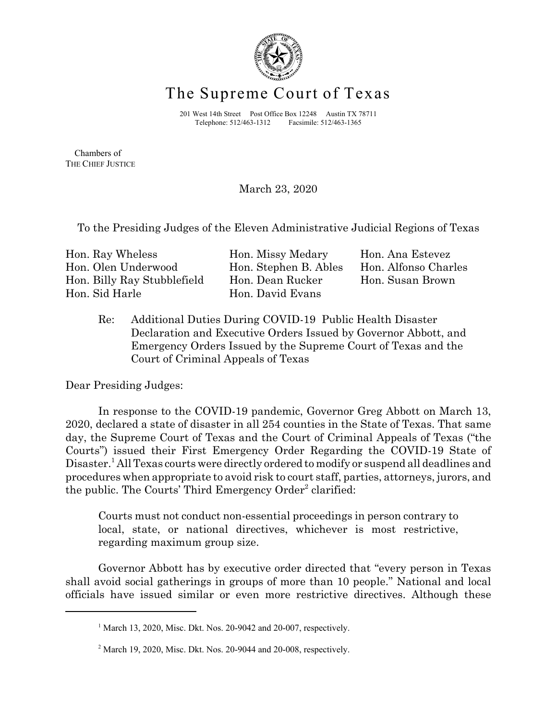

## The Supreme Court of Texas

201 West 14th Street Post Office Box 12248 Austin TX 78711 Telephone: 512/463-1312 Facsimile: 512/463-1365

 Chambers of THE CHIEF JUSTICE

March 23, 2020

To the Presiding Judges of the Eleven Administrative Judicial Regions of Texas

| Hon. Ray Wheless            | Hon. Missy Medary     | Hon. Ana Estevez     |
|-----------------------------|-----------------------|----------------------|
| Hon. Olen Underwood         | Hon. Stephen B. Ables | Hon. Alfonso Charles |
| Hon. Billy Ray Stubblefield | Hon. Dean Rucker      | Hon. Susan Brown     |
| Hon. Sid Harle              | Hon. David Evans      |                      |
|                             |                       |                      |

Re: Additional Duties During COVID-19 Public Health Disaster Declaration and Executive Orders Issued by Governor Abbott, and Emergency Orders Issued by the Supreme Court of Texas and the Court of Criminal Appeals of Texas

Dear Presiding Judges:

In response to the COVID-19 pandemic, Governor Greg Abbott on March 13, 2020, declared a state of disaster in all 254 counties in the State of Texas. That same day, the Supreme Court of Texas and the Court of Criminal Appeals of Texas ("the Courts") issued their First Emergency Order Regarding the COVID-19 State of Disaster.<sup>1</sup> All Texas courts were directly ordered to modify or suspend all deadlines and procedures when appropriate to avoid risk to court staff, parties, attorneys, jurors, and the public. The Courts' Third Emergency Order<sup>2</sup> clarified:

Courts must not conduct non-essential proceedings in person contrary to local, state, or national directives, whichever is most restrictive, regarding maximum group size.

Governor Abbott has by executive order directed that "every person in Texas shall avoid social gatherings in groups of more than 10 people." National and local officials have issued similar or even more restrictive directives. Although these

 $1$  March 13, 2020, Misc. Dkt. Nos. 20-9042 and 20-007, respectively.

 $2^2$  March 19, 2020, Misc. Dkt. Nos. 20-9044 and 20-008, respectively.